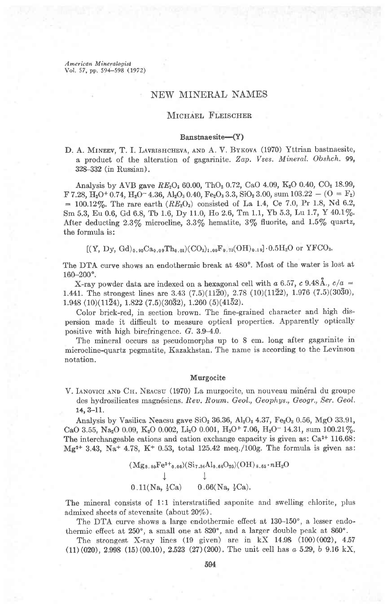American Mineralogist Vol. 57, pp. 594-598 (1972)

# NEW MINERAL NAMES

## MICHAEL FLEISCHER

#### Banstnaesite-(Y)

D. A. MINEEV, T. I. LAVRISHCHEVA, AND A. V. BYKOVA (1970) Yttrian bastnaesite, a product of the alteration of gagarinite. Zap. Vses. Mineral. Obshch. 99, 32&-332 (in Russian).

Analysis by AVB gave  $RE_2O_3$  60.00, ThO<sub>2</sub> 0.72, CaO 4.09, K<sub>2</sub>O 0.40, CO<sub>2</sub> 18.99, F 7.28, H<sub>2</sub>O<sup>+</sup> 0.74, H<sub>2</sub>O<sup>-</sup> 4.36, Al<sub>2</sub>O<sub>3</sub> 0.40, Fe<sub>2</sub>O<sub>3</sub> 3.3, SiO<sub>2</sub> 3.00, sum 103.22 - (O = F<sub>2</sub>) = 100.12%. The rare earth  $(RE_2O_3)$  consisted of La 1.4, Ce 7.0, Pr 1.8, Nd 6.2, Sm 5.3, Eu 0.6, Gd 6.8, Tb 1.6, Dy 11.0, Ho 2.6, Tm 1.1, Yb 5.3, Lu 1.7, Y 40.1%. After deducting  $2.3\%$  microcline,  $3.3\%$  hematite,  $3\%$  fluorite, and  $1.5\%$  quartz, the formula is:

 $[(Y, Dy, Gd)_{0.90}Ca_{0.09}Th_{0.01})(CO_3)_{1.00}F_{0.73}(OH)_{0.19}]\cdot 0.5H_2O$  or YFCO<sub>3</sub>.

The DTA curve shows an endothermic break at 480". Most of the water is lost at 160-200'.

X-ray powder data are indexed on a hexagonal cell with a 6.57, c 9.48Å.,  $c/a$  = 1.441. The strongest lines are 3.43 (7.5)(1120), 2.78 (10)(1122), 1.976 (7.5)(3030),  $1.948$  (10)(1124), 1.822 (7.5)(3032), 1.260 (5)(4152).

Color brick-red, in section brown. The fine-grained character and high dispersion made it difficult to measure optical properties. Apparently optically positive with high birefringence. G. 3.9-4.0.

The mineral occurs as pseudomorphs up to 8 cm. long after gagarinite in microcline-quartz pegmatite, Kazakhstan. The name is according to the Levinson notation.

#### Murgocite

V. IANOVICI AND CH. NEACSU (1970) La murgocite, un nouveau minéral du groupe des hydrosilicates magnésiens. Rev. Roum. Geol., Geophys., Geogr., Ser. Geol. 14, 3-11.

Analysis by Vasilica Neacsu gave SiO<sub>2</sub> 36.36, Al<sub>2</sub>O<sub>3</sub> 4.37, Fe<sub>2</sub>O<sub>3</sub> 0.56, MgO 33.91, CaO 3.55, Na<sub>2</sub>O 0.09, K<sub>2</sub>O 0.002, Li<sub>2</sub>O 0.001, H<sub>2</sub>O<sup>+</sup> 7.06, H<sub>2</sub>O<sup>-</sup> 14.31, sum 100.21%. The interchangeable cations and cation exchange capacity is given as:  $Ca^{2+}116.68$ :  $Mg^{2+}$  3.43, Na<sup>+</sup> 4.78, K<sup>+</sup> 0.53, total 125.42 meq./100g. The formula is given as:

$$
\begin{array}{ccc}\n(Mg_{8.80}Fe^{3+}0.06)(Si_{7.34}Al_{0.66}O_{20})(OH)_{8.65} \cdot nH_2O \\
\downarrow & \downarrow & \\
0.11(Na, \frac{1}{2}Ca) & 0.66(Na, \frac{1}{2}Ca).\n\end{array}
$$

The mineral consists of l:1 interstratified saponite and swelling chlorite, plus admixed sheets of stevensite (about  $20\%$ ).

The DTA curve shows a large endothermic effect at 130-150", a lesser endothermic effect at 250', a small one at 820", and a larger double peak at 860'.

The strongest X-ray lines  $(19 \text{ given})$  are in kX  $14.98 \quad (100)(002)$ ,  $4.57$  $(11)(020), 2.998(15)(00.10), 2.523(27)(200)$ . The unit cell has a 5.29, b 9.16 kX,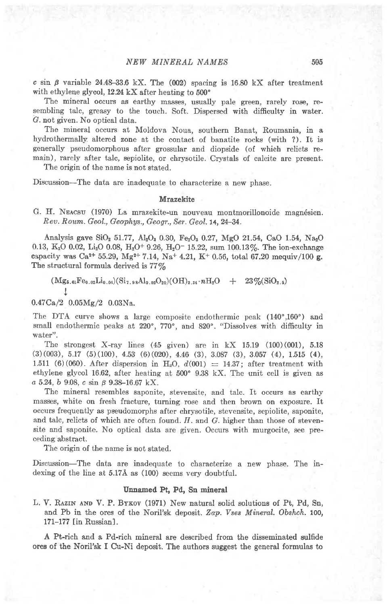c sin  $\beta$  variable 24.48-33.6 kX. The (002) spacing is 16.80 kX after treatment with ethylene glycol,  $12.24$  kX after heating to  $500^\circ$ 

The mineral occurs as earthy masses, usually pale green, rarely rose, resembling talc, greasy to the touch. Soft. Dispersed with difficulty in water. G. not given. No optical data.

The mineral occurs at Moldova Noua, southern Banat, Roumania, in a hydrothermally altered zone at the contact of banatite rocks (with ?). It is generally pseudomorphous after grossular and diopside (of which relicts remain), rarely after talc, sepiolite, or chrysotile. Crystals of calcite are present.

The origin of the name is not stated.

Discussion-The data are inadequate to characterize a new ohase.

#### Mrazekite

G. H. NEACSU (1970) La mrazekite-un nouveau montmorillonoide magnésien. Reu. Roum. GeoI., Geophys., Geogr., Ser. Geol. 14,24=34.

Analysis gave  $SiO_2$  51.77,  $Al_2O_3$  0.30, Fe<sub>2</sub>O<sub>3</sub> 0.27, MgO 21.54, CaO 1.54, Na<sub>2</sub>O 0.13, K<sub>2</sub>O 0.02, Li<sub>2</sub>O 0.08, H<sub>2</sub>O<sup>+</sup> 9.26, H<sub>2</sub>O<sup>-</sup> 15.22, sum 100.13%. The ion-exchange capacity was Ca<sup>2+</sup> 55.29, Mg<sup>2+</sup> 7.14, Na<sup>+</sup> 4.21, K<sup>+</sup> 0.56, total 67.20 mequiv/100 g. The structural formula derived is  $77\%$ 

 $(Mg_{5.61}Fe_{0.02}Li_{0.04})(Si_{7.98}Al_{0.02}O_{20})(OH)_{3.34} \cdot nH_2O$  +  $23\%$ (SiO<sub>2.5</sub>) I

 $0.47Ca/2$   $0.05Mg/2$   $0.03Na$ .

The DTA curve shows a large composite endothermic peak (140°,160°) and small endothermic peaks at  $220^{\circ}$ ,  $770^{\circ}$ , and  $820^{\circ}$ . "Dissolves with difficulty in water",

The strongest X-ray lines  $(45 \text{ given})$  are in kX  $15.19 \cdot (100)(001)$ ,  $5.18$  $(3)(003)$ ,  $5.17$   $(5)(100)$ ,  $4.53$   $(6)(020)$ ,  $4.46$   $(3)$ ,  $3.087$   $(3)$ ,  $3.057$   $(4)$ ,  $1.515$   $(4)$ , 1.511 (6)(060). After dispersion in H<sub>2</sub>O,  $d(001) = 14.37$ ; after treatment with ethylene glycol 16.62, after heating at  $500^{\circ}$  9.38 kX. The unit cell is given as a 5.24, b 9.08, c sin p 9.38-16.67 kX.

The mineral resembles saponite, stevensite, and talc. ft occurs as earthy masses, white on fresh fracture, turning rose and then brown on exposure. It occurs frequently as pseudomorphs after chrysotile, stevensite, sepiolite, saponite, and talc, relicts of which are often found.  $H$ , and  $G$ , higher than those of stevensite and saponite. No optical data are given. Occurs with murgocite, see preceding abstract.

The origin of the name is not stated.

Discussion-The data are inadequate to characterize a new phase. The indexing of the Iine at 5.17A as (100) seems very doubtful.

#### Unnamed Pt, Pd, Sn mineral

L. V. RAZIN AND V. P. BYKOV (1971) New natural solid solutions of Pt, Pd, Sn, and Pb in the ores of the Noril'sk deposit. Zap. Vses Mineral. Obshch. 100, 17L-177 [in Russian].

A Pt-rich and a Pd-rich mineral are described from the disseminated sulfide ores of the Noril'sk I Cu-Ni deposit. The authors suggest the general formulas to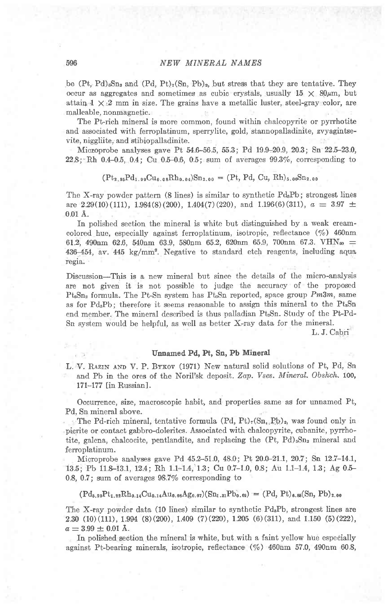be  $(Pt, Pd)_{\delta}Sn_2$  and  $(Pd, Pt)_{\gamma}(Sn, Pb)_{\gamma}$ , but stress that they are tentative. They occur as aggregates and sometimes as cubic crystals, usually  $15 \times 80 \mu m$ , but attain,  $l \times 2$  mm in size. The grains have a metallic luster, steel-gray color, are malleable, nonmagnetic.

The Pt-rich mineral is more common, found within chalcopyrite or pyrrhotite and associated with ferroplatinum, sperrylite, gold, stannopalladinite, zvyagintsevite, niggliite, and stibiopalladinite.

Microprobe analyses gave Pt 54.6-56.5, 55.3; Pd 19.9-20.9, 20.3; Sn 22.5-23.0, 22.8; Rh  $0.4-0.5$ ,  $0.4$ ; Cu  $0.5-0.6$ ,  $0.5$ ; sum of averages 99.3%, corresponding to

$$
(Pt_{2.95}Pd_{1.99}Cu_{0.08}Rh_{0.04})Sn_{2.00} = (Pt, Pd, Cu, Rh)_{5.06}Sn_{2.00}
$$

The X-ray powder pattern (8 lines) is similar to synthetic  $Pd_3Pb$ ; strongest lines are  $2.29(10)(111)$ ,  $1.984(8)(200)$ ,  $1.404(7)(220)$ , and  $1.196(6)(311)$ ,  $a = 3.97 \pm 1$  $0.01 \; \text{\AA}$ .

In polished section the mineral is white but distinguished by a weak creamcolored hue, especially against ferroplatinum, isotropic, reflectance  $(\% )$  460nm 61.2, 490nm 62.6, 540nm 63.9, 580nm 65.2, 620nm 65.9, 700nm 67.3. VHN<sub>so</sub> = 439-454, av. 445 kg/mm'. Negative to standard etch reagents, including aqua regia.

Discussion-This is a new mineral but since the details of the micro-analysis are not given it is not possible to judge the accuracy of the proposed  $Pt<sub>6</sub>Sn<sub>3</sub>$  formula. The Pt-Sn system has Pt<sub>o</sub>Sn reported, space group  $Pm3m$ , same as for Pd<sub>3</sub>Pb; therefore it seems reasonable to assign this mineral to the Pt<sub>3</sub>Sn end member. The mineral described is thus palladian  $Pt<sub>4</sub>Sn$ . Study of the  $Pt-Pd-$ Sn system would be helpful, as well as better X-ray data for the mineral.

L. J. Cabri

## Unnamed Pd, Pt, Sn, Pb Mineral

L. V. RAZIN AND V. P. BYKOV (1971) New natural solid solutions of Pt, Pd, Sn and Pb in the ores of the Noril'sk deposit. Zap. Vses. Mineral. Obshch. 100, l7l-177 [in Russian].

Occurrence, size, macroscopic habit, and properties same as for unnamed Pt, Pd, Sn mineral above.

The Pd-rich mineral, tentative formula (Pd, Pt)<sub>7</sub>(Sn,, Pb)<sub>2</sub>, was found only in pleute or contact gabbro-dolerites. Associated with chalcopyrite, cubanite, pyrrhotite, galena, chalcocite, pentlandite, and replacing the  $(Pt, Pd)_{5}Sn_{2}$  mineral and ferroplatinum.

Microprobe analyses gave Pd 45.2-51.0,48.0; Pt 20.0-21.1,20.7; Sn 12.7-14.1, 13.5; Pb 11.8-13.1, 12.4; Rh 1.1-1.4,'1.3; cu 0.7-1.0,0.8; Au 1.1-1.4, 1.3; Ag 0.5- 0.8, 0.7; sum of averages  $98.7\%$  corresponding to

 $(Pd_{5.20}Pt_{1.22}Rh_{9.14}Cu_{9.14}Au_{9.08}Ag_{9.07})(Sn_{1.31}Pb_{9.69}) = (Pd, Pt)_{6.85}(Sn, Pb)_{2.00}$ 

The X-ray powder data (10 lines) similar to synthetic  $Pd_3Pb$ , strongest lines are 2.30 (10)(111), 1.994 (8)(200), 1.409 (7)(220), 1.205 (6)(311), and 1.150 (5)(222),  $\alpha = 3.99 \pm 0.01$  Å.

In polished section the mineral is white, but with a faint yellow hue especially against Pt-bearing mineralg isotropic, reflectance (%) 460am 57.0, 490nm 60.8,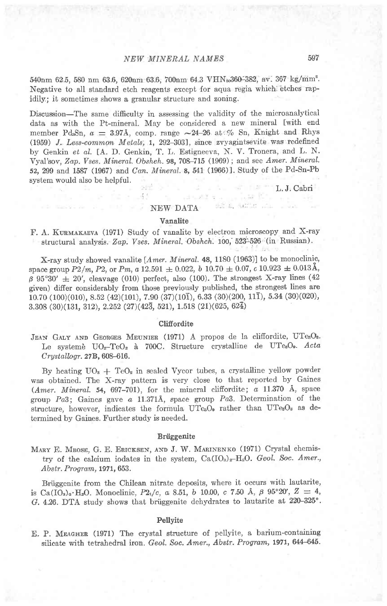540nm 62.5, 580 nm 63.6, 620nm 63.6, 700nm 64.3 VHN<sub>50</sub>360-382, av. 367 kg/mm<sup>2</sup>. Negative to all standard etch reagents except for aqua regia which etches rapidily; it sometimes shows a granular structure and zoning.

Discussion-The same difficulty in assessing the validity of the microanalytical data as with the Pt-mineral. May be considered a new mineral [with end member Pd<sub>s</sub>Sn,  $a = 3.97$ Å, comp. range  $\sim 24-26$  at % Sn, Knight and Rhys  $(1959)$  J. Less-common Metals, 1, 292-303], since zvyagints evite was redefined by Genkin et al. [A. D. Genkin, T. L. Estigneeva, N. V. Tronera, and L. N. Vyal'sov, Zap. Vses, Mineral. Obsheh. 98, 708-715 (1969); and see Amer. Mineral. 52, 299 and 1587 (1967) and Can. Mineral. 8, 541 (1966)]. Study of the Pd-Sn-Pb system would also be helpful.

L.J. Cabri

#### NEW DATA

statistics and the

#### Vanalite

F. A. KURMAKAEVA (1971) Study of vanalite by electron microscopy and X-ray structural analysis. Zap. Vses. Mineral. Obshch. 100, 523-526 (in Russian).

X-ray study showed vanalite [Amer. Mineral. 48, 1180 (1963)] to be monoclinic, space group  $P2/m$ ,  $P2$ , or  $Pm$ ,  $a 12.591 \pm 0.022$ ,  $b 10.70 \pm 0.07$ ,  $c 10.923 \pm 0.013$  Å,  $\beta$  95°30'  $\pm$  20', cleavage (010) perfect, also (100). The strongest X-ray lines (42) given) differ considerably from those previously published, the strongest lines are  $10.70(100)(010)$ ,  $8.52(42)(101)$ ,  $7.90(37)(10\bar{1})$ ,  $6.33(30)(200, 11\bar{1})$ ,  $5.34(30)(020)$ ,  $3.308(30)(131, 312), 2.252(27)(42\overline{3}, 521), 1.518(21)(625, 62\overline{4})$ 

#### Cliffordite

JEAN GALY AND GEORGES MEUNIER (1971) A propos de la cliffordite, UTesOs. Le systemè UOs-TeO<sub>2</sub> à 700C. Structure crystalline de UTe<sub>3</sub>O<sub>9</sub>. Acta Crystallogr. 27B, 608-616.

By heating  $UO_3 + TeO_2$  in sealed Vycor tubes, a crystalline yellow powder was obtained. The X-ray pattern is very close to that reported by Gaines (Amer. Mineral. 54, 697-701), for the mineral cliffordite;  $a$  11.370 Å, space group  $Pa3$ ; Gaines gave  $a$  11.371Å, space group  $Pa3$ . Determination of the structure, however, indicates the formula UTe3O<sub>9</sub> rather than UTe3O<sub>8</sub> as determined by Gaines. Further study is needed.

#### **Brüggenite**

MARY E. MROSE, G. E. ERICKSEN, AND J. W. MARINENKO (1971) Crystal chemistry of the calcium iodates in the system,  $Ca(IO<sub>3</sub>)<sub>2</sub> - H<sub>2</sub>O$ . Geol. Soc. Amer., Abstr. Program, 1971, 653.

Brüggenite from the Chilean nitrate deposits, where it occurs with lautarite, is Ca(IO<sub>3</sub>)<sub>2</sub>·H<sub>2</sub>O. Monoclinic, P2<sub>1</sub>/c, a 8.51, b 10.00, c 7.50 Å,  $\beta$  95°20′, Z = 4, G. 4.26. DTA study shows that bruggenite dehydrates to lautarite at 220-325°.

## Pellyite

E. P. MEAGHER (1971) The crystal structure of pellyite, a barium-containing silicate with tetrahedral iron. Geol. Soc. Amer., Abstr. Program, 1971, 644-645.